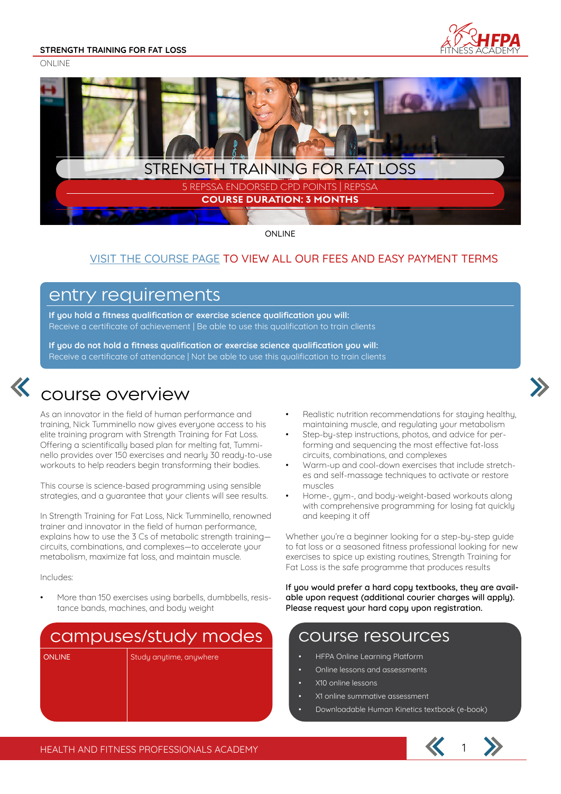**STRENGTH TRAINING FOR FAT LOSS**

ONI INF





ONLINE

#### VISIT THE COURSE PAGE TO VIEW ALL OUR FEES AND EASY PAYMENT TERMS

#### entry requirements

**If you hold a fitness qualification or exercise science qualification you will:** Receive a certificate of achievement | Be able to use this qualification to train clients

**If you do not hold a fitness qualification or exercise science qualification you will:** Receive a certificate of attendance | Not be able to use this qualification to train clients



## course overview

As an innovator in the field of human performance and training, Nick Tumminello now gives everyone access to his elite training program with Strength Training for Fat Loss. Offering a scientifically based plan for melting fat, Tumminello provides over 150 exercises and nearly 30 ready-to-use workouts to help readers begin transforming their bodies.

This course is science-based programming using sensible strategies, and a guarantee that your clients will see results.

In Strength Training for Fat Loss, Nick Tumminello, renowned trainer and innovator in the field of human performance, explains how to use the 3 Cs of metabolic strength training circuits, combinations, and complexes—to accelerate your metabolism, maximize fat loss, and maintain muscle.

Includes:

• More than 150 exercises using barbells, dumbbells, resistance bands, machines, and body weight

## campuses/study modes

ONLINE Study anytime, anywhere

- Realistic nutrition recommendations for staying healthy, maintaining muscle, and regulating your metabolism
- Step-by-step instructions, photos, and advice for performing and sequencing the most effective fat-loss circuits, combinations, and complexes
- Warm-up and cool-down exercises that include stretches and self-massage techniques to activate or restore muscles
- Home-, gym-, and body-weight-based workouts along with comprehensive programming for losing fat quickly and keeping it off

Whether you're a beginner looking for a step-by-step guide to fat loss or a seasoned fitness professional looking for new exercises to spice up existing routines, Strength Training for Fat Loss is the safe programme that produces results

**If you would prefer a hard copy textbooks, they are available upon request (additional courier charges will apply). Please request your hard copy upon registration.**

#### course resources

- HFPA Online Learning Platform
- Online lessons and assessments
- X10 online lessons
- X1 online summative assessment
- Downloadable Human Kinetics textbook (e-book)

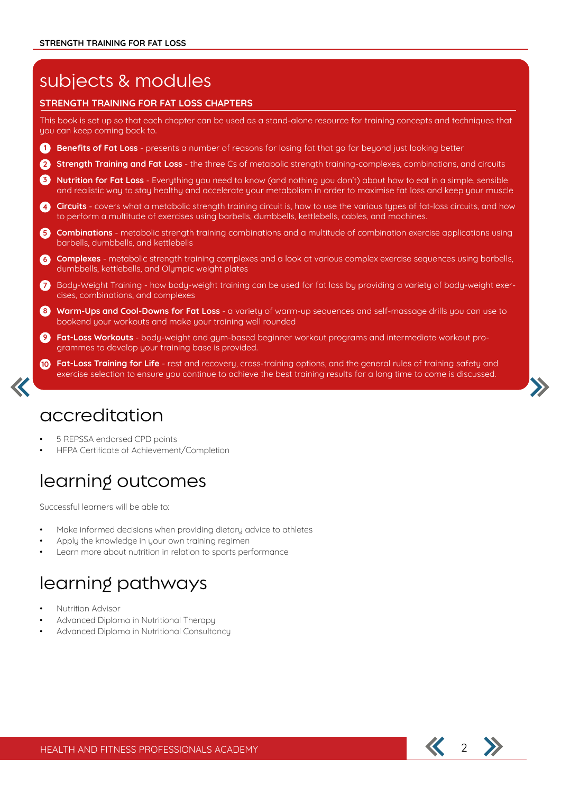## subjects & modules

#### **STRENGTH TRAINING FOR FAT LOSS CHAPTERS**

This book is set up so that each chapter can be used as a stand-alone resource for training concepts and techniques that you can keep coming back to.

- **Benefits of Fat Loss** presents a number of reasons for losing fat that go far beyond just looking better **1**
- **Strength Training and Fat Loss** the three Cs of metabolic strength training-complexes, combinations, and circuits **2**
- **Nutrition for Fat Loss** Everything you need to know (and nothing you don't) about how to eat in a simple, sensible **3** and realistic way to stay healthy and accelerate your metabolism in order to maximise fat loss and keep your muscle
- 4 Circuits covers what a metabolic strength training circuit is, how to use the various types of fat-loss circuits, and how to perform a multitude of exercises using barbells, dumbbells, kettlebells, cables, and machines.
- **Combinations** metabolic strength training combinations and a multitude of combination exercise applications using barbells, dumbbells, and kettlebells **5**
- **Complexes** metabolic strength training complexes and a look at various complex exercise sequences using barbells, dumbbells, kettlebells, and Olympic weight plates **6**
- Body-Weight Training how body-weight training can be used for fat loss by providing a variety of body-weight exer-**7** cises, combinations, and complexes
- 8) Warm-Ups and Cool-Downs for Fat Loss a variety of warm-up sequences and self-massage drills you can use to bookend your workouts and make your training well rounded
- **Fat-Loss Workouts** body-weight and gym-based beginner workout programs and intermediate workout programmes to develop your training base is provided. **9**
- **Fat-Loss Training for Life** rest and recovery, cross-training options, and the general rules of training safety and **10** exercise selection to ensure you continue to achieve the best training results for a long time to come is discussed.

#### accreditation

- 5 REPSSA endorsed CPD points
- HFPA Certificate of Achievement/Completion

## learning outcomes

Successful learners will be able to:

- Make informed decisions when providing dietary advice to athletes
- Apply the knowledge in your own training regimen
- Learn more about nutrition in relation to sports performance

## learning pathways

- Nutrition Advisor
- Advanced Diploma in Nutritional Therapy
- Advanced Diploma in Nutritional Consultancy